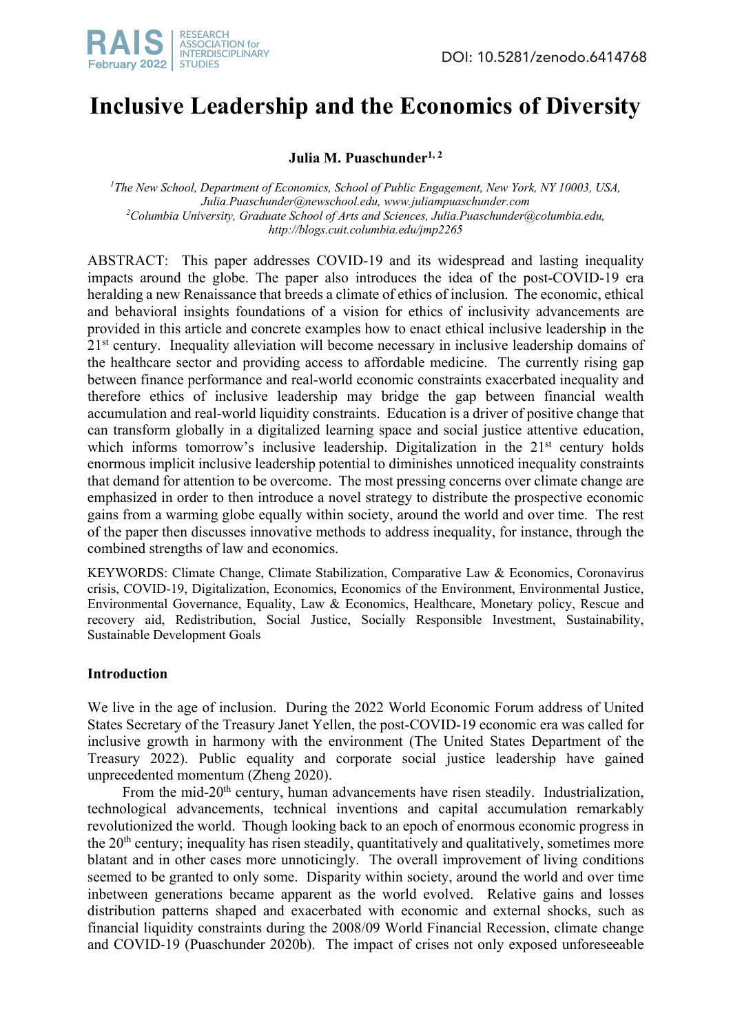# **Inclusive Leadership and the Economics of Diversity**

# **Julia M. Puaschunder**<sup>1, 2</sup>

<sup>1</sup>The New School, Department of Economics, School of Public Engagement, New York, NY 10003, USA, *Julia.Puaschunder@newschool.edu, www.juliampuaschunder.com 2 Columbia University, Graduate School of Arts and Sciences, Julia.Puaschunder@columbia.edu, http://blogs.cuit.columbia.edu/jmp2265*

ABSTRACT: This paper addresses COVID-19 and its widespread and lasting inequality impacts around the globe. The paper also introduces the idea of the post-COVID-19 era heralding a new Renaissance that breeds a climate of ethics of inclusion. The economic, ethical and behavioral insights foundations of a vision for ethics of inclusivity advancements are provided in this article and concrete examples how to enact ethical inclusive leadership in the  $21<sup>st</sup>$  century. Inequality alleviation will become necessary in inclusive leadership domains of the healthcare sector and providing access to affordable medicine. The currently rising gap between finance performance and real-world economic constraints exacerbated inequality and therefore ethics of inclusive leadership may bridge the gap between financial wealth accumulation and real-world liquidity constraints. Education is a driver of positive change that can transform globally in a digitalized learning space and social justice attentive education, which informs tomorrow's inclusive leadership. Digitalization in the  $21<sup>st</sup>$  century holds enormous implicit inclusive leadership potential to diminishes unnoticed inequality constraints that demand for attention to be overcome. The most pressing concerns over climate change are emphasized in order to then introduce a novel strategy to distribute the prospective economic gains from a warming globe equally within society, around the world and over time. The rest of the paper then discusses innovative methods to address inequality, for instance, through the combined strengths of law and economics.

KEYWORDS: Climate Change, Climate Stabilization, Comparative Law & Economics, Coronavirus crisis, COVID-19, Digitalization, Economics, Economics of the Environment, Environmental Justice, Environmental Governance, Equality, Law & Economics, Healthcare, Monetary policy, Rescue and recovery aid, Redistribution, Social Justice, Socially Responsible Investment, Sustainability, Sustainable Development Goals

## **Introduction**

We live in the age of inclusion. During the 2022 World Economic Forum address of United States Secretary of the Treasury Janet Yellen, the post-COVID-19 economic era was called for inclusive growth in harmony with the environment (The United States Department of the Treasury 2022). Public equality and corporate social justice leadership have gained unprecedented momentum (Zheng 2020).

From the mid-20<sup>th</sup> century, human advancements have risen steadily. Industrialization, technological advancements, technical inventions and capital accumulation remarkably revolutionized the world. Though looking back to an epoch of enormous economic progress in the 20<sup>th</sup> century; inequality has risen steadily, quantitatively and qualitatively, sometimes more blatant and in other cases more unnoticingly. The overall improvement of living conditions seemed to be granted to only some. Disparity within society, around the world and over time inbetween generations became apparent as the world evolved. Relative gains and losses distribution patterns shaped and exacerbated with economic and external shocks, such as financial liquidity constraints during the 2008/09 World Financial Recession, climate change and COVID-19 (Puaschunder 2020b). The impact of crises not only exposed unforeseeable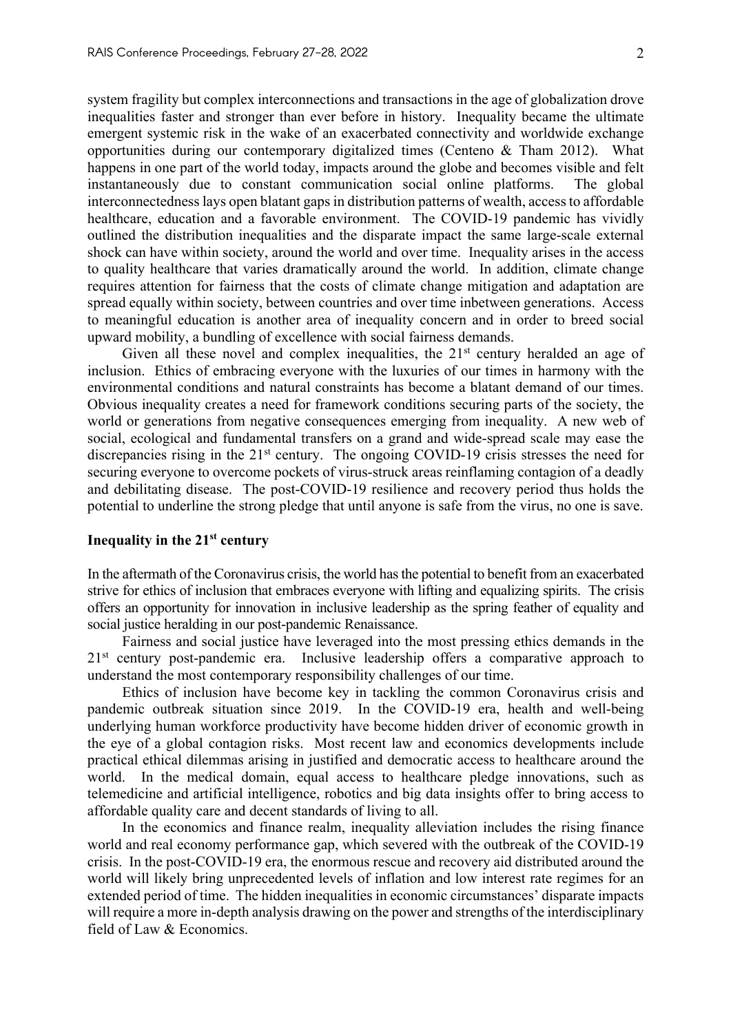system fragility but complex interconnections and transactions in the age of globalization drove inequalities faster and stronger than ever before in history. Inequality became the ultimate emergent systemic risk in the wake of an exacerbated connectivity and worldwide exchange opportunities during our contemporary digitalized times (Centeno & Tham 2012). What happens in one part of the world today, impacts around the globe and becomes visible and felt instantaneously due to constant communication social online platforms. The global interconnectednesslays open blatant gaps in distribution patterns of wealth, access to affordable healthcare, education and a favorable environment. The COVID-19 pandemic has vividly outlined the distribution inequalities and the disparate impact the same large-scale external shock can have within society, around the world and over time. Inequality arises in the access to quality healthcare that varies dramatically around the world. In addition, climate change requires attention for fairness that the costs of climate change mitigation and adaptation are spread equally within society, between countries and over time inbetween generations. Access to meaningful education is another area of inequality concern and in order to breed social upward mobility, a bundling of excellence with social fairness demands.

Given all these novel and complex inequalities, the  $21<sup>st</sup>$  century heralded an age of inclusion. Ethics of embracing everyone with the luxuries of our times in harmony with the environmental conditions and natural constraints has become a blatant demand of our times. Obvious inequality creates a need for framework conditions securing parts of the society, the world or generations from negative consequences emerging from inequality. A new web of social, ecological and fundamental transfers on a grand and wide-spread scale may ease the discrepancies rising in the 21<sup>st</sup> century. The ongoing COVID-19 crisis stresses the need for securing everyone to overcome pockets of virus-struck areas reinflaming contagion of a deadly and debilitating disease. The post-COVID-19 resilience and recovery period thus holds the potential to underline the strong pledge that until anyone is safe from the virus, no one is save.

#### **Inequality in the 21st century**

In the aftermath of the Coronavirus crisis, the world has the potential to benefit from an exacerbated strive for ethics of inclusion that embraces everyone with lifting and equalizing spirits. The crisis offers an opportunity for innovation in inclusive leadership as the spring feather of equality and social justice heralding in our post-pandemic Renaissance.

Fairness and social justice have leveraged into the most pressing ethics demands in the 21<sup>st</sup> century post-pandemic era. Inclusive leadership offers a comparative approach to understand the most contemporary responsibility challenges of our time.

Ethics of inclusion have become key in tackling the common Coronavirus crisis and pandemic outbreak situation since 2019. In the COVID-19 era, health and well-being underlying human workforce productivity have become hidden driver of economic growth in the eye of a global contagion risks. Most recent law and economics developments include practical ethical dilemmas arising in justified and democratic access to healthcare around the world. In the medical domain, equal access to healthcare pledge innovations, such as telemedicine and artificial intelligence, robotics and big data insights offer to bring access to affordable quality care and decent standards of living to all.

In the economics and finance realm, inequality alleviation includes the rising finance world and real economy performance gap, which severed with the outbreak of the COVID-19 crisis. In the post-COVID-19 era, the enormous rescue and recovery aid distributed around the world will likely bring unprecedented levels of inflation and low interest rate regimes for an extended period of time. The hidden inequalities in economic circumstances' disparate impacts will require a more in-depth analysis drawing on the power and strengths of the interdisciplinary field of Law & Economics.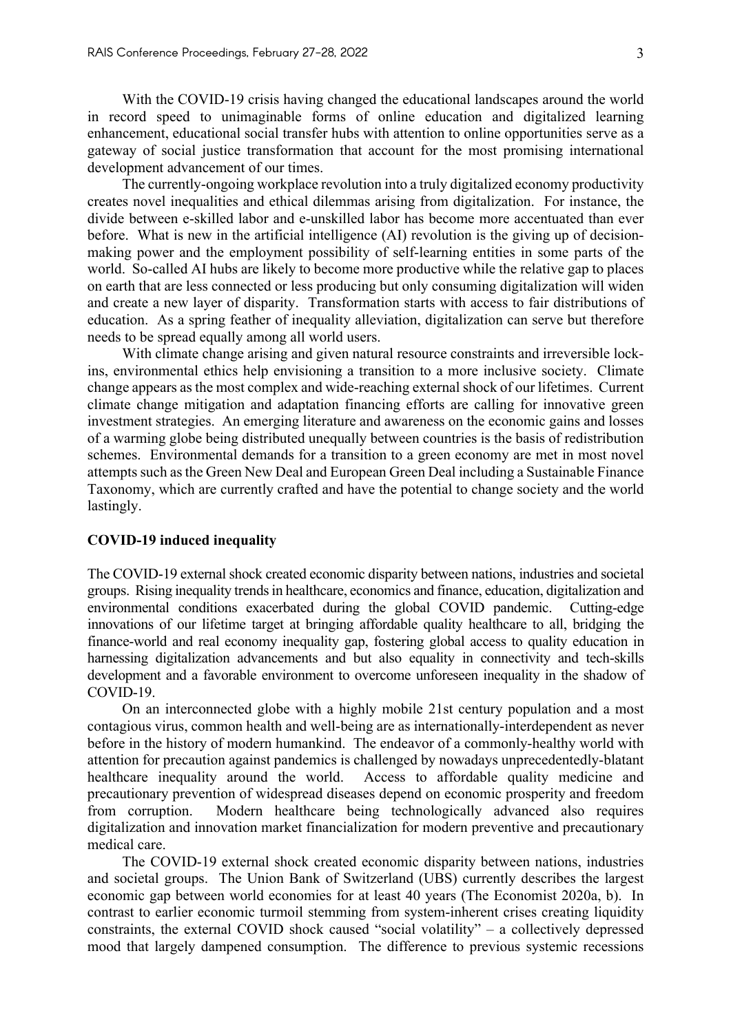With the COVID-19 crisis having changed the educational landscapes around the world in record speed to unimaginable forms of online education and digitalized learning enhancement, educational social transfer hubs with attention to online opportunities serve as a gateway of social justice transformation that account for the most promising international development advancement of our times.

The currently-ongoing workplace revolution into a truly digitalized economy productivity creates novel inequalities and ethical dilemmas arising from digitalization. For instance, the divide between e-skilled labor and e-unskilled labor has become more accentuated than ever before. What is new in the artificial intelligence (AI) revolution is the giving up of decisionmaking power and the employment possibility of self-learning entities in some parts of the world. So-called AI hubs are likely to become more productive while the relative gap to places on earth that are less connected or less producing but only consuming digitalization will widen and create a new layer of disparity. Transformation starts with access to fair distributions of education. As a spring feather of inequality alleviation, digitalization can serve but therefore needs to be spread equally among all world users.

With climate change arising and given natural resource constraints and irreversible lockins, environmental ethics help envisioning a transition to a more inclusive society. Climate change appears as the most complex and wide-reaching external shock of our lifetimes. Current climate change mitigation and adaptation financing efforts are calling for innovative green investment strategies. An emerging literature and awareness on the economic gains and losses of a warming globe being distributed unequally between countries is the basis of redistribution schemes. Environmental demands for a transition to a green economy are met in most novel attempts such as the Green New Deal and European Green Deal including a Sustainable Finance Taxonomy, which are currently crafted and have the potential to change society and the world lastingly.

## **COVID-19 induced inequality**

The COVID-19 external shock created economic disparity between nations, industries and societal groups. Rising inequality trends in healthcare, economics and finance, education, digitalization and environmental conditions exacerbated during the global COVID pandemic. Cutting-edge innovations of our lifetime target at bringing affordable quality healthcare to all, bridging the finance-world and real economy inequality gap, fostering global access to quality education in harnessing digitalization advancements and but also equality in connectivity and tech-skills development and a favorable environment to overcome unforeseen inequality in the shadow of COVID-19.

On an interconnected globe with a highly mobile 21st century population and a most contagious virus, common health and well-being are as internationally-interdependent as never before in the history of modern humankind. The endeavor of a commonly-healthy world with attention for precaution against pandemics is challenged by nowadays unprecedentedly-blatant healthcare inequality around the world. Access to affordable quality medicine and precautionary prevention of widespread diseases depend on economic prosperity and freedom from corruption. Modern healthcare being technologically advanced also requires digitalization and innovation market financialization for modern preventive and precautionary medical care.

The COVID-19 external shock created economic disparity between nations, industries and societal groups. The Union Bank of Switzerland (UBS) currently describes the largest economic gap between world economies for at least 40 years (The Economist 2020a, b). In contrast to earlier economic turmoil stemming from system-inherent crises creating liquidity constraints, the external COVID shock caused "social volatility" – a collectively depressed mood that largely dampened consumption. The difference to previous systemic recessions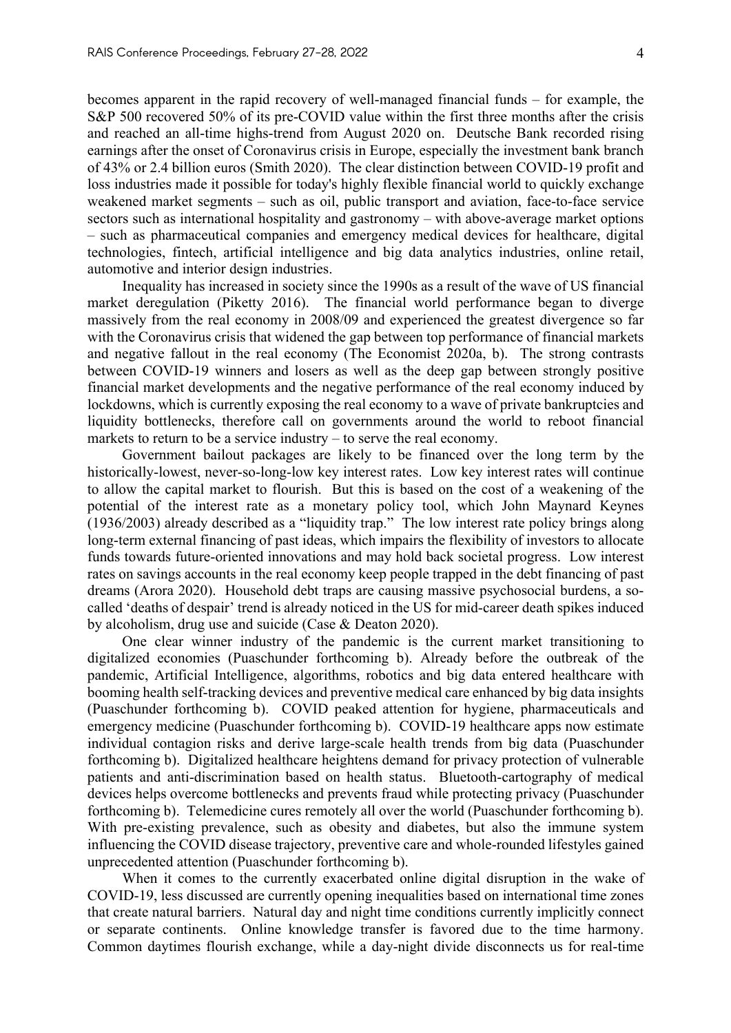becomes apparent in the rapid recovery of well-managed financial funds – for example, the S&P 500 recovered 50% of its pre-COVID value within the first three months after the crisis and reached an all-time highs-trend from August 2020 on. Deutsche Bank recorded rising earnings after the onset of Coronavirus crisis in Europe, especially the investment bank branch of 43% or 2.4 billion euros (Smith 2020). The clear distinction between COVID-19 profit and loss industries made it possible for today's highly flexible financial world to quickly exchange weakened market segments – such as oil, public transport and aviation, face-to-face service sectors such as international hospitality and gastronomy – with above-average market options – such as pharmaceutical companies and emergency medical devices for healthcare, digital technologies, fintech, artificial intelligence and big data analytics industries, online retail, automotive and interior design industries.

Inequality has increased in society since the 1990s as a result of the wave of US financial market deregulation (Piketty 2016). The financial world performance began to diverge massively from the real economy in 2008/09 and experienced the greatest divergence so far with the Coronavirus crisis that widened the gap between top performance of financial markets and negative fallout in the real economy (The Economist 2020a, b). The strong contrasts between COVID-19 winners and losers as well as the deep gap between strongly positive financial market developments and the negative performance of the real economy induced by lockdowns, which is currently exposing the real economy to a wave of private bankruptcies and liquidity bottlenecks, therefore call on governments around the world to reboot financial markets to return to be a service industry – to serve the real economy.

Government bailout packages are likely to be financed over the long term by the historically-lowest, never-so-long-low key interest rates. Low key interest rates will continue to allow the capital market to flourish. But this is based on the cost of a weakening of the potential of the interest rate as a monetary policy tool, which John Maynard Keynes (1936/2003) already described as a "liquidity trap." The low interest rate policy brings along long-term external financing of past ideas, which impairs the flexibility of investors to allocate funds towards future-oriented innovations and may hold back societal progress. Low interest rates on savings accounts in the real economy keep people trapped in the debt financing of past dreams (Arora 2020). Household debt traps are causing massive psychosocial burdens, a socalled 'deaths of despair' trend is already noticed in the US for mid-career death spikes induced by alcoholism, drug use and suicide (Case & Deaton 2020).

One clear winner industry of the pandemic is the current market transitioning to digitalized economies (Puaschunder forthcoming b). Already before the outbreak of the pandemic, Artificial Intelligence, algorithms, robotics and big data entered healthcare with booming health self-tracking devices and preventive medical care enhanced by big data insights (Puaschunder forthcoming b). COVID peaked attention for hygiene, pharmaceuticals and emergency medicine (Puaschunder forthcoming b). COVID-19 healthcare apps now estimate individual contagion risks and derive large-scale health trends from big data (Puaschunder forthcoming b). Digitalized healthcare heightens demand for privacy protection of vulnerable patients and anti-discrimination based on health status. Bluetooth-cartography of medical devices helps overcome bottlenecks and prevents fraud while protecting privacy (Puaschunder forthcoming b). Telemedicine cures remotely all over the world (Puaschunder forthcoming b). With pre-existing prevalence, such as obesity and diabetes, but also the immune system influencing the COVID disease trajectory, preventive care and whole-rounded lifestyles gained unprecedented attention (Puaschunder forthcoming b).

When it comes to the currently exacerbated online digital disruption in the wake of COVID-19, less discussed are currently opening inequalities based on international time zones that create natural barriers. Natural day and night time conditions currently implicitly connect or separate continents. Online knowledge transfer is favored due to the time harmony. Common daytimes flourish exchange, while a day-night divide disconnects us for real-time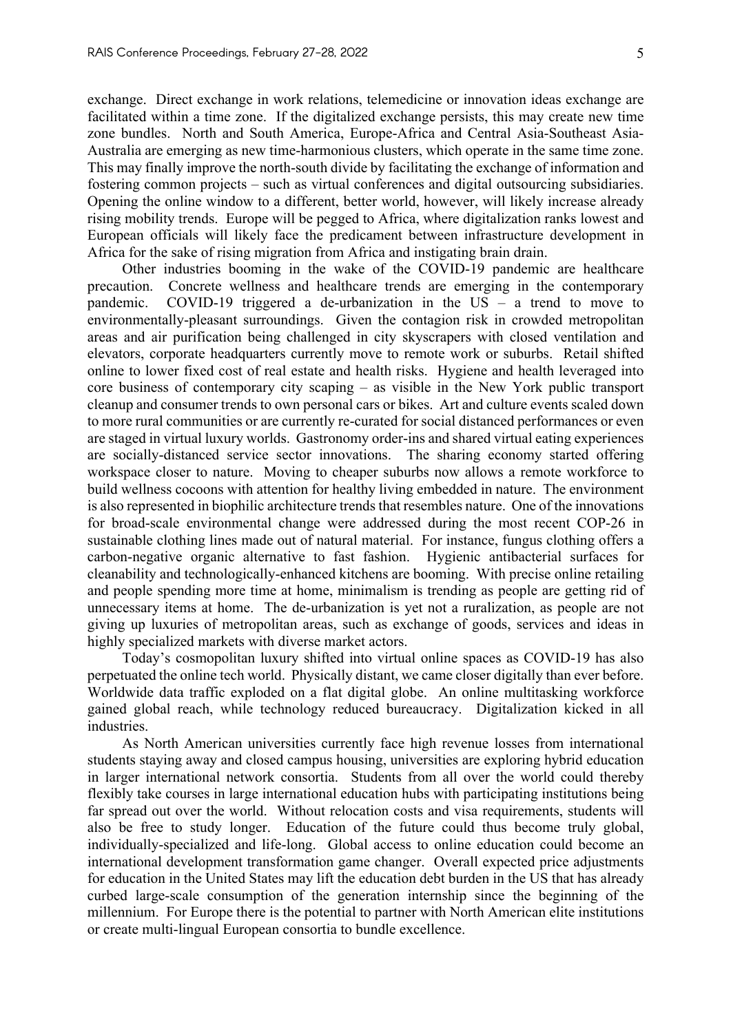exchange. Direct exchange in work relations, telemedicine or innovation ideas exchange are facilitated within a time zone. If the digitalized exchange persists, this may create new time zone bundles. North and South America, Europe-Africa and Central Asia-Southeast Asia-Australia are emerging as new time-harmonious clusters, which operate in the same time zone. This may finally improve the north-south divide by facilitating the exchange of information and fostering common projects – such as virtual conferences and digital outsourcing subsidiaries. Opening the online window to a different, better world, however, will likely increase already rising mobility trends. Europe will be pegged to Africa, where digitalization ranks lowest and European officials will likely face the predicament between infrastructure development in Africa for the sake of rising migration from Africa and instigating brain drain.

Other industries booming in the wake of the COVID-19 pandemic are healthcare precaution. Concrete wellness and healthcare trends are emerging in the contemporary pandemic. COVID-19 triggered a de-urbanization in the US – a trend to move to environmentally-pleasant surroundings. Given the contagion risk in crowded metropolitan areas and air purification being challenged in city skyscrapers with closed ventilation and elevators, corporate headquarters currently move to remote work or suburbs. Retail shifted online to lower fixed cost of real estate and health risks. Hygiene and health leveraged into core business of contemporary city scaping – as visible in the New York public transport cleanup and consumer trends to own personal cars or bikes. Art and culture events scaled down to more rural communities or are currently re-curated for social distanced performances or even are staged in virtual luxury worlds. Gastronomy order-ins and shared virtual eating experiences are socially-distanced service sector innovations. The sharing economy started offering workspace closer to nature. Moving to cheaper suburbs now allows a remote workforce to build wellness cocoons with attention for healthy living embedded in nature. The environment is also represented in biophilic architecture trends that resembles nature. One of the innovations for broad-scale environmental change were addressed during the most recent COP-26 in sustainable clothing lines made out of natural material. For instance, fungus clothing offers a carbon-negative organic alternative to fast fashion. Hygienic antibacterial surfaces for cleanability and technologically-enhanced kitchens are booming. With precise online retailing and people spending more time at home, minimalism is trending as people are getting rid of unnecessary items at home. The de-urbanization is yet not a ruralization, as people are not giving up luxuries of metropolitan areas, such as exchange of goods, services and ideas in highly specialized markets with diverse market actors.

Today's cosmopolitan luxury shifted into virtual online spaces as COVID-19 has also perpetuated the online tech world. Physically distant, we came closer digitally than ever before. Worldwide data traffic exploded on a flat digital globe. An online multitasking workforce gained global reach, while technology reduced bureaucracy. Digitalization kicked in all industries.

As North American universities currently face high revenue losses from international students staying away and closed campus housing, universities are exploring hybrid education in larger international network consortia. Students from all over the world could thereby flexibly take courses in large international education hubs with participating institutions being far spread out over the world. Without relocation costs and visa requirements, students will also be free to study longer. Education of the future could thus become truly global, individually-specialized and life-long. Global access to online education could become an international development transformation game changer. Overall expected price adjustments for education in the United States may lift the education debt burden in the US that has already curbed large-scale consumption of the generation internship since the beginning of the millennium. For Europe there is the potential to partner with North American elite institutions or create multi-lingual European consortia to bundle excellence.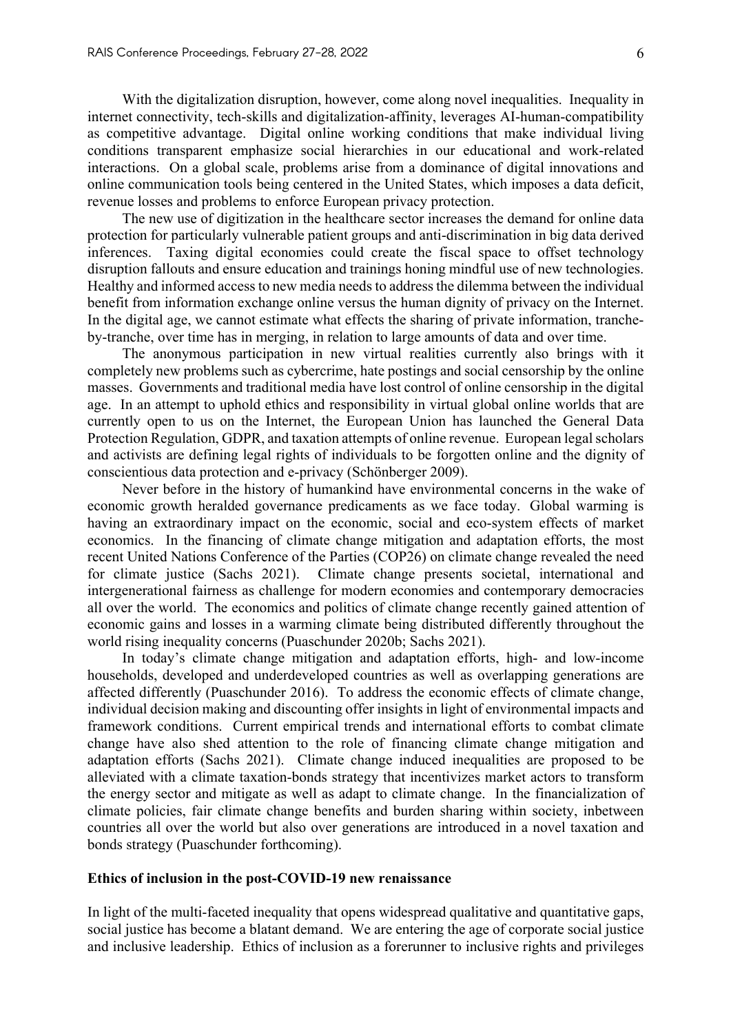With the digitalization disruption, however, come along novel inequalities. Inequality in internet connectivity, tech-skills and digitalization-affinity, leverages AI-human-compatibility as competitive advantage. Digital online working conditions that make individual living conditions transparent emphasize social hierarchies in our educational and work-related interactions. On a global scale, problems arise from a dominance of digital innovations and online communication tools being centered in the United States, which imposes a data deficit, revenue losses and problems to enforce European privacy protection.

The new use of digitization in the healthcare sector increases the demand for online data protection for particularly vulnerable patient groups and anti-discrimination in big data derived inferences. Taxing digital economies could create the fiscal space to offset technology disruption fallouts and ensure education and trainings honing mindful use of new technologies. Healthy and informed access to new media needs to address the dilemma between the individual benefit from information exchange online versus the human dignity of privacy on the Internet. In the digital age, we cannot estimate what effects the sharing of private information, trancheby-tranche, over time has in merging, in relation to large amounts of data and over time.

The anonymous participation in new virtual realities currently also brings with it completely new problems such as cybercrime, hate postings and social censorship by the online masses. Governments and traditional media have lost control of online censorship in the digital age. In an attempt to uphold ethics and responsibility in virtual global online worlds that are currently open to us on the Internet, the European Union has launched the General Data Protection Regulation, GDPR, and taxation attempts of online revenue. European legal scholars and activists are defining legal rights of individuals to be forgotten online and the dignity of conscientious data protection and e-privacy (Schönberger 2009).

Never before in the history of humankind have environmental concerns in the wake of economic growth heralded governance predicaments as we face today. Global warming is having an extraordinary impact on the economic, social and eco-system effects of market economics. In the financing of climate change mitigation and adaptation efforts, the most recent United Nations Conference of the Parties (COP26) on climate change revealed the need for climate justice (Sachs 2021). Climate change presents societal, international and intergenerational fairness as challenge for modern economies and contemporary democracies all over the world. The economics and politics of climate change recently gained attention of economic gains and losses in a warming climate being distributed differently throughout the world rising inequality concerns (Puaschunder 2020b; Sachs 2021).

In today's climate change mitigation and adaptation efforts, high- and low-income households, developed and underdeveloped countries as well as overlapping generations are affected differently (Puaschunder 2016). To address the economic effects of climate change, individual decision making and discounting offer insights in light of environmental impacts and framework conditions. Current empirical trends and international efforts to combat climate change have also shed attention to the role of financing climate change mitigation and adaptation efforts (Sachs 2021). Climate change induced inequalities are proposed to be alleviated with a climate taxation-bonds strategy that incentivizes market actors to transform the energy sector and mitigate as well as adapt to climate change. In the financialization of climate policies, fair climate change benefits and burden sharing within society, inbetween countries all over the world but also over generations are introduced in a novel taxation and bonds strategy (Puaschunder forthcoming).

#### **Ethics of inclusion in the post-COVID-19 new renaissance**

In light of the multi-faceted inequality that opens widespread qualitative and quantitative gaps, social justice has become a blatant demand. We are entering the age of corporate social justice and inclusive leadership. Ethics of inclusion as a forerunner to inclusive rights and privileges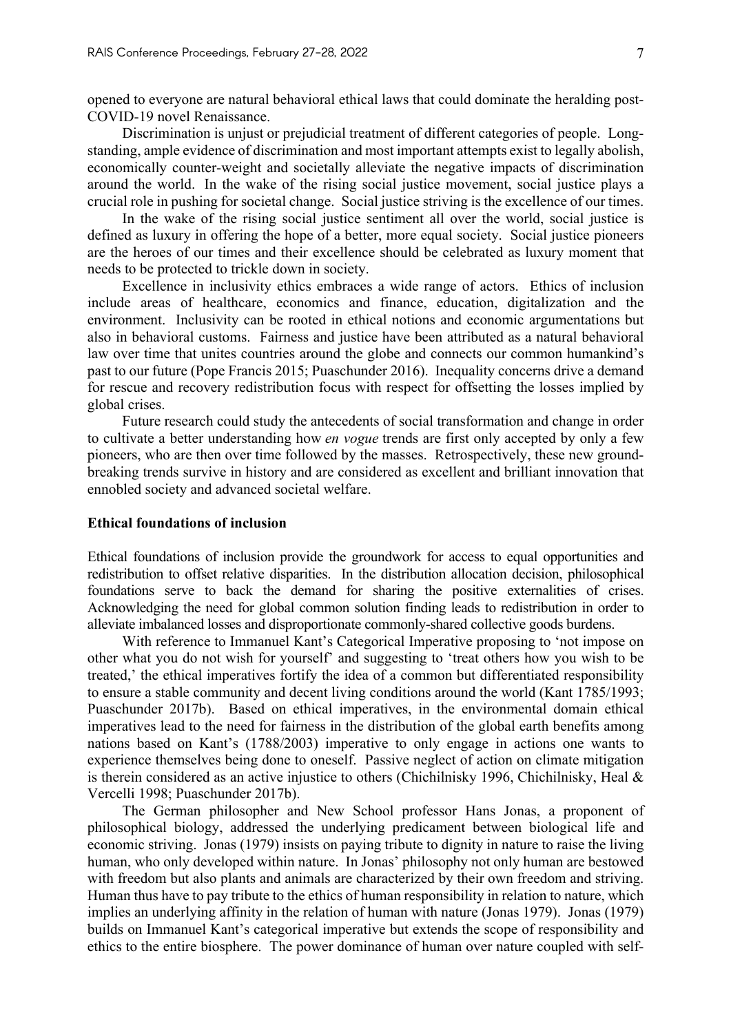opened to everyone are natural behavioral ethical laws that could dominate the heralding post-COVID-19 novel Renaissance.

Discrimination is unjust or prejudicial treatment of different categories of people. Longstanding, ample evidence of discrimination and most important attempts exist to legally abolish, economically counter-weight and societally alleviate the negative impacts of discrimination around the world. In the wake of the rising social justice movement, social justice plays a crucial role in pushing for societal change. Social justice striving is the excellence of our times.

In the wake of the rising social justice sentiment all over the world, social justice is defined as luxury in offering the hope of a better, more equal society. Social justice pioneers are the heroes of our times and their excellence should be celebrated as luxury moment that needs to be protected to trickle down in society.

Excellence in inclusivity ethics embraces a wide range of actors. Ethics of inclusion include areas of healthcare, economics and finance, education, digitalization and the environment. Inclusivity can be rooted in ethical notions and economic argumentations but also in behavioral customs. Fairness and justice have been attributed as a natural behavioral law over time that unites countries around the globe and connects our common humankind's past to our future (Pope Francis 2015; Puaschunder 2016). Inequality concerns drive a demand for rescue and recovery redistribution focus with respect for offsetting the losses implied by global crises.

Future research could study the antecedents of social transformation and change in order to cultivate a better understanding how *en vogue* trends are first only accepted by only a few pioneers, who are then over time followed by the masses. Retrospectively, these new groundbreaking trends survive in history and are considered as excellent and brilliant innovation that ennobled society and advanced societal welfare.

## **Ethical foundations of inclusion**

Ethical foundations of inclusion provide the groundwork for access to equal opportunities and redistribution to offset relative disparities. In the distribution allocation decision, philosophical foundations serve to back the demand for sharing the positive externalities of crises. Acknowledging the need for global common solution finding leads to redistribution in order to alleviate imbalanced losses and disproportionate commonly-shared collective goods burdens.

With reference to Immanuel Kant's Categorical Imperative proposing to 'not impose on other what you do not wish for yourself' and suggesting to 'treat others how you wish to be treated,' the ethical imperatives fortify the idea of a common but differentiated responsibility to ensure a stable community and decent living conditions around the world (Kant 1785/1993; Puaschunder 2017b). Based on ethical imperatives, in the environmental domain ethical imperatives lead to the need for fairness in the distribution of the global earth benefits among nations based on Kant's (1788/2003) imperative to only engage in actions one wants to experience themselves being done to oneself. Passive neglect of action on climate mitigation is therein considered as an active injustice to others (Chichilnisky 1996, Chichilnisky, Heal & Vercelli 1998; Puaschunder 2017b).

The German philosopher and New School professor Hans Jonas, a proponent of philosophical biology, addressed the underlying predicament between biological life and economic striving. Jonas (1979) insists on paying tribute to dignity in nature to raise the living human, who only developed within nature. In Jonas' philosophy not only human are bestowed with freedom but also plants and animals are characterized by their own freedom and striving. Human thus have to pay tribute to the ethics of human responsibility in relation to nature, which implies an underlying affinity in the relation of human with nature (Jonas 1979). Jonas (1979) builds on Immanuel Kant's categorical imperative but extends the scope of responsibility and ethics to the entire biosphere. The power dominance of human over nature coupled with self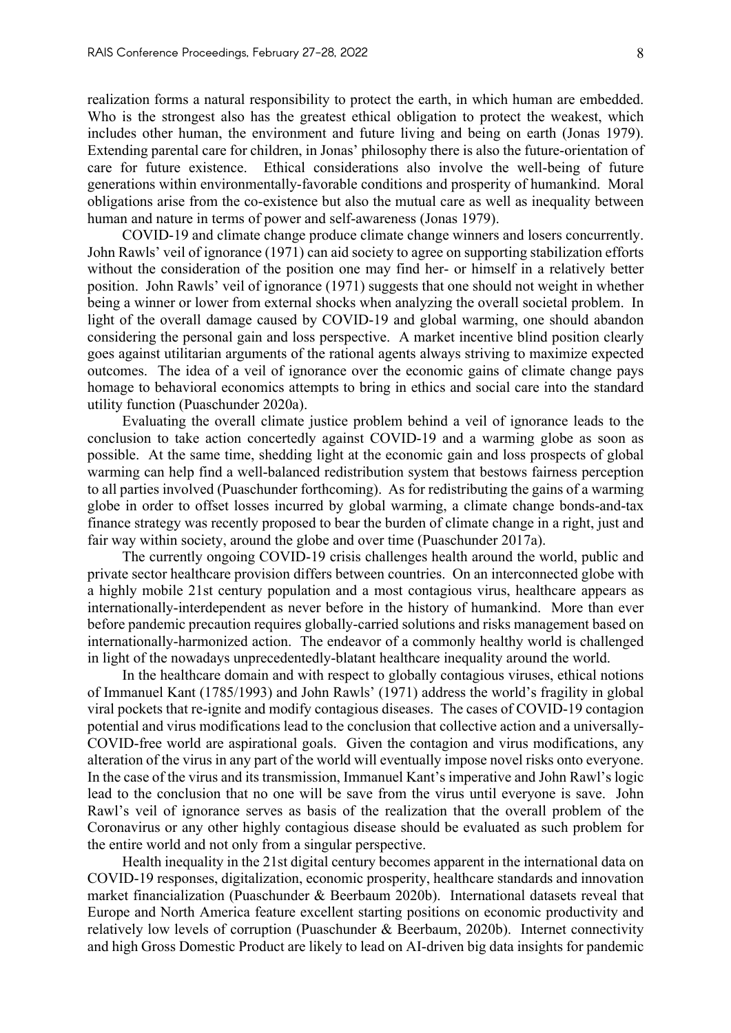realization forms a natural responsibility to protect the earth, in which human are embedded. Who is the strongest also has the greatest ethical obligation to protect the weakest, which includes other human, the environment and future living and being on earth (Jonas 1979). Extending parental care for children, in Jonas' philosophy there is also the future-orientation of care for future existence. Ethical considerations also involve the well-being of future generations within environmentally-favorable conditions and prosperity of humankind. Moral obligations arise from the co-existence but also the mutual care as well as inequality between human and nature in terms of power and self-awareness (Jonas 1979).

COVID-19 and climate change produce climate change winners and losers concurrently. John Rawls' veil of ignorance (1971) can aid society to agree on supporting stabilization efforts without the consideration of the position one may find her- or himself in a relatively better position. John Rawls' veil of ignorance (1971) suggests that one should not weight in whether being a winner or lower from external shocks when analyzing the overall societal problem. In light of the overall damage caused by COVID-19 and global warming, one should abandon considering the personal gain and loss perspective. A market incentive blind position clearly goes against utilitarian arguments of the rational agents always striving to maximize expected outcomes. The idea of a veil of ignorance over the economic gains of climate change pays homage to behavioral economics attempts to bring in ethics and social care into the standard utility function (Puaschunder 2020a).

Evaluating the overall climate justice problem behind a veil of ignorance leads to the conclusion to take action concertedly against COVID-19 and a warming globe as soon as possible. At the same time, shedding light at the economic gain and loss prospects of global warming can help find a well-balanced redistribution system that bestows fairness perception to all parties involved (Puaschunder forthcoming). As for redistributing the gains of a warming globe in order to offset losses incurred by global warming, a climate change bonds-and-tax finance strategy was recently proposed to bear the burden of climate change in a right, just and fair way within society, around the globe and over time (Puaschunder 2017a).

The currently ongoing COVID-19 crisis challenges health around the world, public and private sector healthcare provision differs between countries. On an interconnected globe with a highly mobile 21st century population and a most contagious virus, healthcare appears as internationally-interdependent as never before in the history of humankind. More than ever before pandemic precaution requires globally-carried solutions and risks management based on internationally-harmonized action. The endeavor of a commonly healthy world is challenged in light of the nowadays unprecedentedly-blatant healthcare inequality around the world.

In the healthcare domain and with respect to globally contagious viruses, ethical notions of Immanuel Kant (1785/1993) and John Rawls' (1971) address the world's fragility in global viral pockets that re-ignite and modify contagious diseases. The cases of COVID-19 contagion potential and virus modifications lead to the conclusion that collective action and a universally-COVID-free world are aspirational goals. Given the contagion and virus modifications, any alteration of the virus in any part of the world will eventually impose novel risks onto everyone. In the case of the virus and its transmission, Immanuel Kant's imperative and John Rawl's logic lead to the conclusion that no one will be save from the virus until everyone is save. John Rawl's veil of ignorance serves as basis of the realization that the overall problem of the Coronavirus or any other highly contagious disease should be evaluated as such problem for the entire world and not only from a singular perspective.

Health inequality in the 21st digital century becomes apparent in the international data on COVID-19 responses, digitalization, economic prosperity, healthcare standards and innovation market financialization (Puaschunder & Beerbaum 2020b). International datasets reveal that Europe and North America feature excellent starting positions on economic productivity and relatively low levels of corruption (Puaschunder & Beerbaum, 2020b). Internet connectivity and high Gross Domestic Product are likely to lead on AI-driven big data insights for pandemic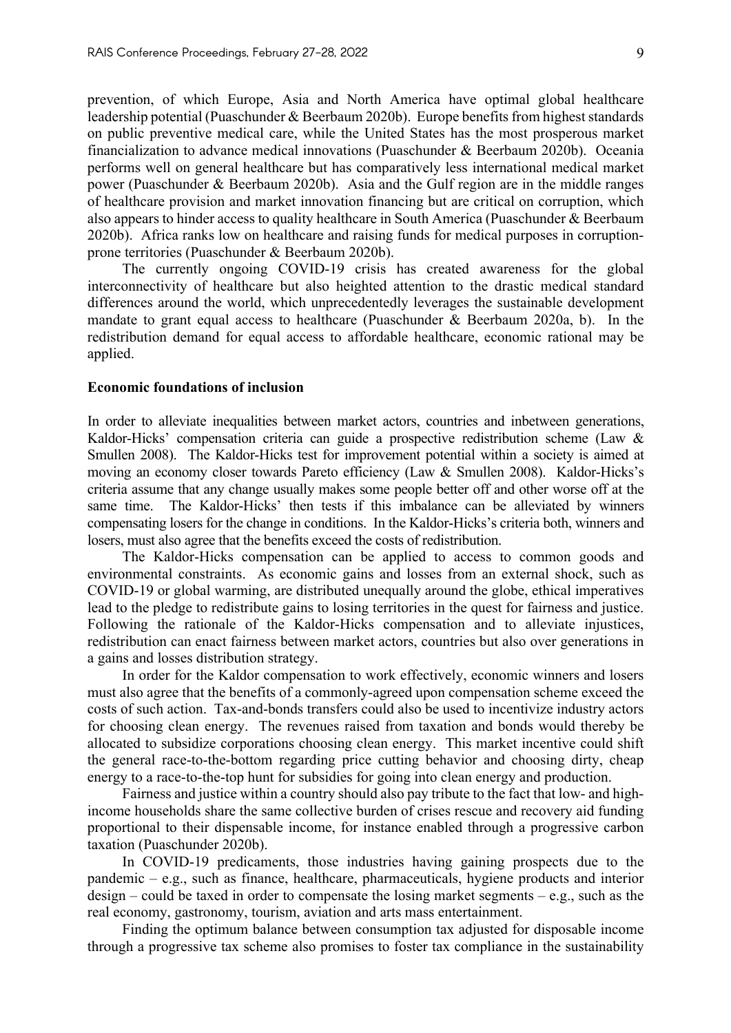prevention, of which Europe, Asia and North America have optimal global healthcare leadership potential (Puaschunder & Beerbaum 2020b). Europe benefits from highest standards on public preventive medical care, while the United States has the most prosperous market financialization to advance medical innovations (Puaschunder & Beerbaum 2020b). Oceania performs well on general healthcare but has comparatively less international medical market power (Puaschunder & Beerbaum 2020b). Asia and the Gulf region are in the middle ranges of healthcare provision and market innovation financing but are critical on corruption, which also appears to hinder access to quality healthcare in South America (Puaschunder & Beerbaum 2020b). Africa ranks low on healthcare and raising funds for medical purposes in corruptionprone territories (Puaschunder & Beerbaum 2020b).

The currently ongoing COVID-19 crisis has created awareness for the global interconnectivity of healthcare but also heighted attention to the drastic medical standard differences around the world, which unprecedentedly leverages the sustainable development mandate to grant equal access to healthcare (Puaschunder & Beerbaum 2020a, b). In the redistribution demand for equal access to affordable healthcare, economic rational may be applied.

#### **Economic foundations of inclusion**

In order to alleviate inequalities between market actors, countries and inbetween generations, Kaldor-Hicks' compensation criteria can guide a prospective redistribution scheme (Law & Smullen 2008). The Kaldor-Hicks test for improvement potential within a society is aimed at moving an economy closer towards Pareto efficiency (Law & Smullen 2008). Kaldor-Hicks's criteria assume that any change usually makes some people better off and other worse off at the same time. The Kaldor-Hicks' then tests if this imbalance can be alleviated by winners compensating losers for the change in conditions. In the Kaldor-Hicks's criteria both, winners and losers, must also agree that the benefits exceed the costs of redistribution.

The Kaldor-Hicks compensation can be applied to access to common goods and environmental constraints. As economic gains and losses from an external shock, such as COVID-19 or global warming, are distributed unequally around the globe, ethical imperatives lead to the pledge to redistribute gains to losing territories in the quest for fairness and justice. Following the rationale of the Kaldor-Hicks compensation and to alleviate injustices, redistribution can enact fairness between market actors, countries but also over generations in a gains and losses distribution strategy.

In order for the Kaldor compensation to work effectively, economic winners and losers must also agree that the benefits of a commonly-agreed upon compensation scheme exceed the costs of such action. Tax-and-bonds transfers could also be used to incentivize industry actors for choosing clean energy. The revenues raised from taxation and bonds would thereby be allocated to subsidize corporations choosing clean energy. This market incentive could shift the general race-to-the-bottom regarding price cutting behavior and choosing dirty, cheap energy to a race-to-the-top hunt for subsidies for going into clean energy and production.

Fairness and justice within a country should also pay tribute to the fact that low- and highincome households share the same collective burden of crises rescue and recovery aid funding proportional to their dispensable income, for instance enabled through a progressive carbon taxation (Puaschunder 2020b).

In COVID-19 predicaments, those industries having gaining prospects due to the pandemic – e.g., such as finance, healthcare, pharmaceuticals, hygiene products and interior design – could be taxed in order to compensate the losing market segments – e.g., such as the real economy, gastronomy, tourism, aviation and arts mass entertainment.

Finding the optimum balance between consumption tax adjusted for disposable income through a progressive tax scheme also promises to foster tax compliance in the sustainability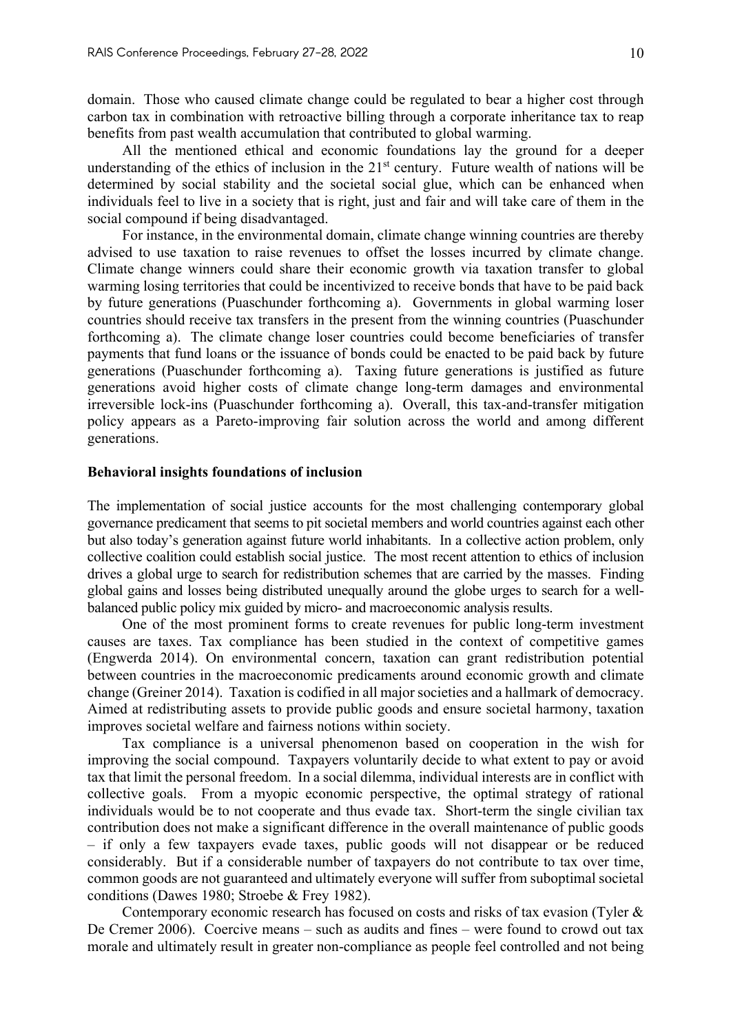domain. Those who caused climate change could be regulated to bear a higher cost through carbon tax in combination with retroactive billing through a corporate inheritance tax to reap benefits from past wealth accumulation that contributed to global warming.

All the mentioned ethical and economic foundations lay the ground for a deeper understanding of the ethics of inclusion in the  $21<sup>st</sup>$  century. Future wealth of nations will be determined by social stability and the societal social glue, which can be enhanced when individuals feel to live in a society that is right, just and fair and will take care of them in the social compound if being disadvantaged.

For instance, in the environmental domain, climate change winning countries are thereby advised to use taxation to raise revenues to offset the losses incurred by climate change. Climate change winners could share their economic growth via taxation transfer to global warming losing territories that could be incentivized to receive bonds that have to be paid back by future generations (Puaschunder forthcoming a). Governments in global warming loser countries should receive tax transfers in the present from the winning countries (Puaschunder forthcoming a). The climate change loser countries could become beneficiaries of transfer payments that fund loans or the issuance of bonds could be enacted to be paid back by future generations (Puaschunder forthcoming a). Taxing future generations is justified as future generations avoid higher costs of climate change long-term damages and environmental irreversible lock-ins (Puaschunder forthcoming a). Overall, this tax-and-transfer mitigation policy appears as a Pareto-improving fair solution across the world and among different generations.

#### **Behavioral insights foundations of inclusion**

The implementation of social justice accounts for the most challenging contemporary global governance predicament that seems to pit societal members and world countries against each other but also today's generation against future world inhabitants. In a collective action problem, only collective coalition could establish social justice. The most recent attention to ethics of inclusion drives a global urge to search for redistribution schemes that are carried by the masses. Finding global gains and losses being distributed unequally around the globe urges to search for a wellbalanced public policy mix guided by micro- and macroeconomic analysis results.

One of the most prominent forms to create revenues for public long-term investment causes are taxes. Tax compliance has been studied in the context of competitive games (Engwerda 2014). On environmental concern, taxation can grant redistribution potential between countries in the macroeconomic predicaments around economic growth and climate change (Greiner 2014). Taxation is codified in all major societies and a hallmark of democracy. Aimed at redistributing assets to provide public goods and ensure societal harmony, taxation improves societal welfare and fairness notions within society.

Tax compliance is a universal phenomenon based on cooperation in the wish for improving the social compound. Taxpayers voluntarily decide to what extent to pay or avoid tax that limit the personal freedom. In a social dilemma, individual interests are in conflict with collective goals. From a myopic economic perspective, the optimal strategy of rational individuals would be to not cooperate and thus evade tax. Short-term the single civilian tax contribution does not make a significant difference in the overall maintenance of public goods – if only a few taxpayers evade taxes, public goods will not disappear or be reduced considerably. But if a considerable number of taxpayers do not contribute to tax over time, common goods are not guaranteed and ultimately everyone will suffer from suboptimal societal conditions (Dawes 1980; Stroebe & Frey 1982).

Contemporary economic research has focused on costs and risks of tax evasion (Tyler & De Cremer 2006). Coercive means – such as audits and fines – were found to crowd out tax morale and ultimately result in greater non-compliance as people feel controlled and not being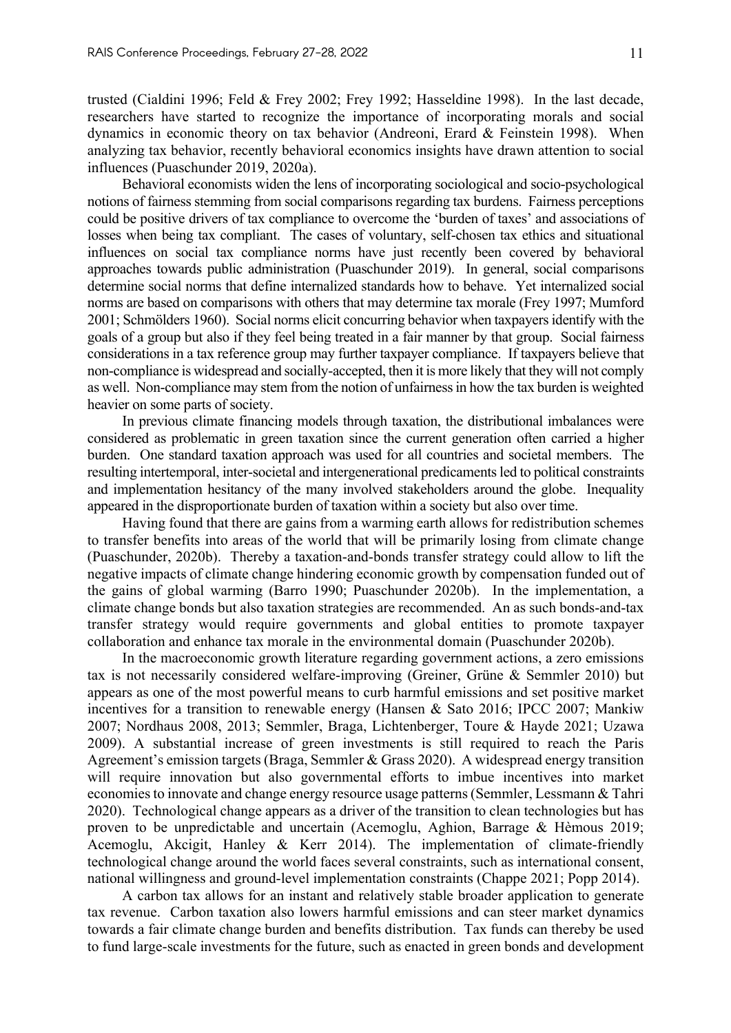trusted (Cialdini 1996; Feld & Frey 2002; Frey 1992; Hasseldine 1998). In the last decade, researchers have started to recognize the importance of incorporating morals and social dynamics in economic theory on tax behavior (Andreoni, Erard & Feinstein 1998). When analyzing tax behavior, recently behavioral economics insights have drawn attention to social influences (Puaschunder 2019, 2020a).

Behavioral economists widen the lens of incorporating sociological and socio-psychological notions of fairness stemming from social comparisons regarding tax burdens. Fairness perceptions could be positive drivers of tax compliance to overcome the 'burden of taxes' and associations of losses when being tax compliant. The cases of voluntary, self-chosen tax ethics and situational influences on social tax compliance norms have just recently been covered by behavioral approaches towards public administration (Puaschunder 2019). In general, social comparisons determine social norms that define internalized standards how to behave. Yet internalized social norms are based on comparisons with others that may determine tax morale (Frey 1997; Mumford 2001; Schmölders 1960). Social norms elicit concurring behavior when taxpayers identify with the goals of a group but also if they feel being treated in a fair manner by that group. Social fairness considerations in a tax reference group may further taxpayer compliance. If taxpayers believe that non-compliance is widespread and socially-accepted, then it is more likely that they will not comply as well. Non-compliance may stem from the notion of unfairness in how the tax burden is weighted heavier on some parts of society.

In previous climate financing models through taxation, the distributional imbalances were considered as problematic in green taxation since the current generation often carried a higher burden. One standard taxation approach was used for all countries and societal members. The resulting intertemporal, inter-societal and intergenerational predicaments led to political constraints and implementation hesitancy of the many involved stakeholders around the globe. Inequality appeared in the disproportionate burden of taxation within a society but also over time.

Having found that there are gains from a warming earth allows for redistribution schemes to transfer benefits into areas of the world that will be primarily losing from climate change (Puaschunder, 2020b). Thereby a taxation-and-bonds transfer strategy could allow to lift the negative impacts of climate change hindering economic growth by compensation funded out of the gains of global warming (Barro 1990; Puaschunder 2020b). In the implementation, a climate change bonds but also taxation strategies are recommended. An as such bonds-and-tax transfer strategy would require governments and global entities to promote taxpayer collaboration and enhance tax morale in the environmental domain (Puaschunder 2020b).

In the macroeconomic growth literature regarding government actions, a zero emissions tax is not necessarily considered welfare-improving (Greiner, Grüne & Semmler 2010) but appears as one of the most powerful means to curb harmful emissions and set positive market incentives for a transition to renewable energy (Hansen & Sato 2016; IPCC 2007; Mankiw 2007; Nordhaus 2008, 2013; Semmler, Braga, Lichtenberger, Toure & Hayde 2021; Uzawa 2009). A substantial increase of green investments is still required to reach the Paris Agreement's emission targets (Braga, Semmler & Grass 2020). A widespread energy transition will require innovation but also governmental efforts to imbue incentives into market economies to innovate and change energy resource usage patterns (Semmler, Lessmann & Tahri 2020). Technological change appears as a driver of the transition to clean technologies but has proven to be unpredictable and uncertain (Acemoglu, Aghion, Barrage & Hèmous 2019; Acemoglu, Akcigit, Hanley & Kerr 2014). The implementation of climate-friendly technological change around the world faces several constraints, such as international consent, national willingness and ground-level implementation constraints (Chappe 2021; Popp 2014).

A carbon tax allows for an instant and relatively stable broader application to generate tax revenue. Carbon taxation also lowers harmful emissions and can steer market dynamics towards a fair climate change burden and benefits distribution. Tax funds can thereby be used to fund large-scale investments for the future, such as enacted in green bonds and development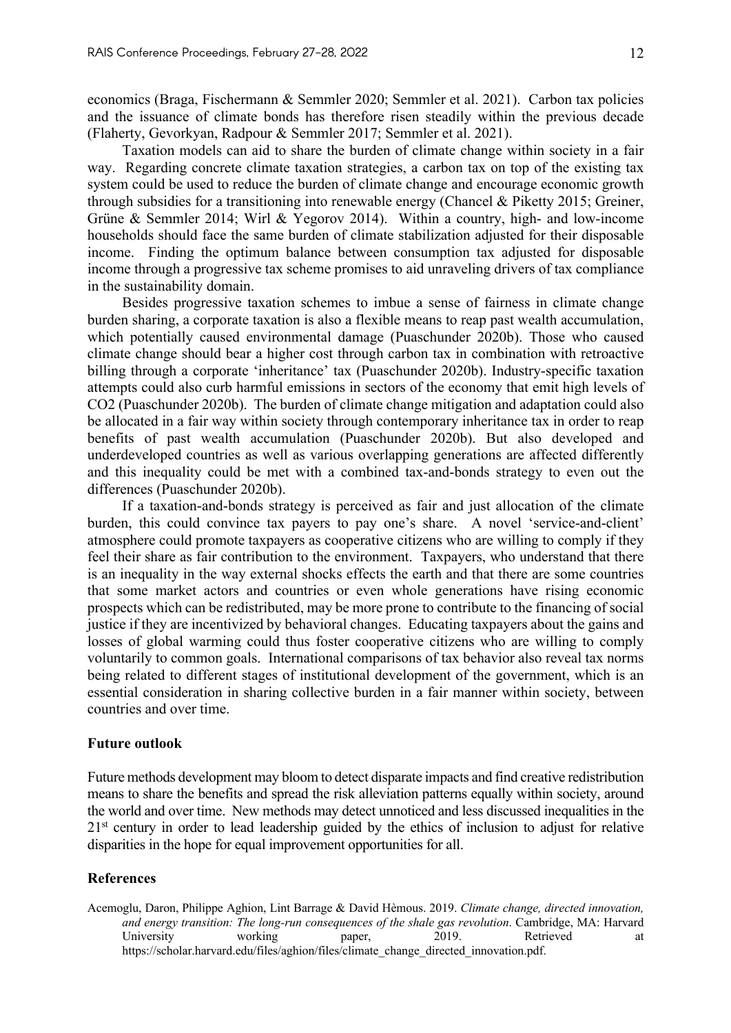economics (Braga, Fischermann & Semmler 2020; Semmler et al. 2021). Carbon tax policies and the issuance of climate bonds has therefore risen steadily within the previous decade (Flaherty, Gevorkyan, Radpour & Semmler 2017; Semmler et al. 2021).

Taxation models can aid to share the burden of climate change within society in a fair way. Regarding concrete climate taxation strategies, a carbon tax on top of the existing tax system could be used to reduce the burden of climate change and encourage economic growth through subsidies for a transitioning into renewable energy (Chancel & Piketty 2015; Greiner, Grüne & Semmler 2014; Wirl & Yegorov 2014). Within a country, high- and low-income households should face the same burden of climate stabilization adjusted for their disposable income. Finding the optimum balance between consumption tax adjusted for disposable income through a progressive tax scheme promises to aid unraveling drivers of tax compliance in the sustainability domain.

Besides progressive taxation schemes to imbue a sense of fairness in climate change burden sharing, a corporate taxation is also a flexible means to reap past wealth accumulation, which potentially caused environmental damage (Puaschunder 2020b). Those who caused climate change should bear a higher cost through carbon tax in combination with retroactive billing through a corporate 'inheritance' tax (Puaschunder 2020b). Industry-specific taxation attempts could also curb harmful emissions in sectors of the economy that emit high levels of CO2 (Puaschunder 2020b). The burden of climate change mitigation and adaptation could also be allocated in a fair way within society through contemporary inheritance tax in order to reap benefits of past wealth accumulation (Puaschunder 2020b). But also developed and underdeveloped countries as well as various overlapping generations are affected differently and this inequality could be met with a combined tax-and-bonds strategy to even out the differences (Puaschunder 2020b).

If a taxation-and-bonds strategy is perceived as fair and just allocation of the climate burden, this could convince tax payers to pay one's share. A novel 'service-and-client' atmosphere could promote taxpayers as cooperative citizens who are willing to comply if they feel their share as fair contribution to the environment. Taxpayers, who understand that there is an inequality in the way external shocks effects the earth and that there are some countries that some market actors and countries or even whole generations have rising economic prospects which can be redistributed, may be more prone to contribute to the financing of social justice if they are incentivized by behavioral changes. Educating taxpayers about the gains and losses of global warming could thus foster cooperative citizens who are willing to comply voluntarily to common goals. International comparisons of tax behavior also reveal tax norms being related to different stages of institutional development of the government, which is an essential consideration in sharing collective burden in a fair manner within society, between countries and over time.

#### **Future outlook**

Future methods development may bloom to detect disparate impacts and find creative redistribution means to share the benefits and spread the risk alleviation patterns equally within society, around the world and over time. New methods may detect unnoticed and less discussed inequalities in the 21<sup>st</sup> century in order to lead leadership guided by the ethics of inclusion to adjust for relative disparities in the hope for equal improvement opportunities for all.

## **References**

Acemoglu, Daron, Philippe Aghion, Lint Barrage & David Hèmous. 2019. *Climate change, directed innovation, and energy transition: The long-run consequences of the shale gas revolution*. Cambridge, MA: Harvard University working paper, 2019. Retrieved at https://scholar.harvard.edu/files/aghion/files/climate\_change\_directed\_innovation.pdf.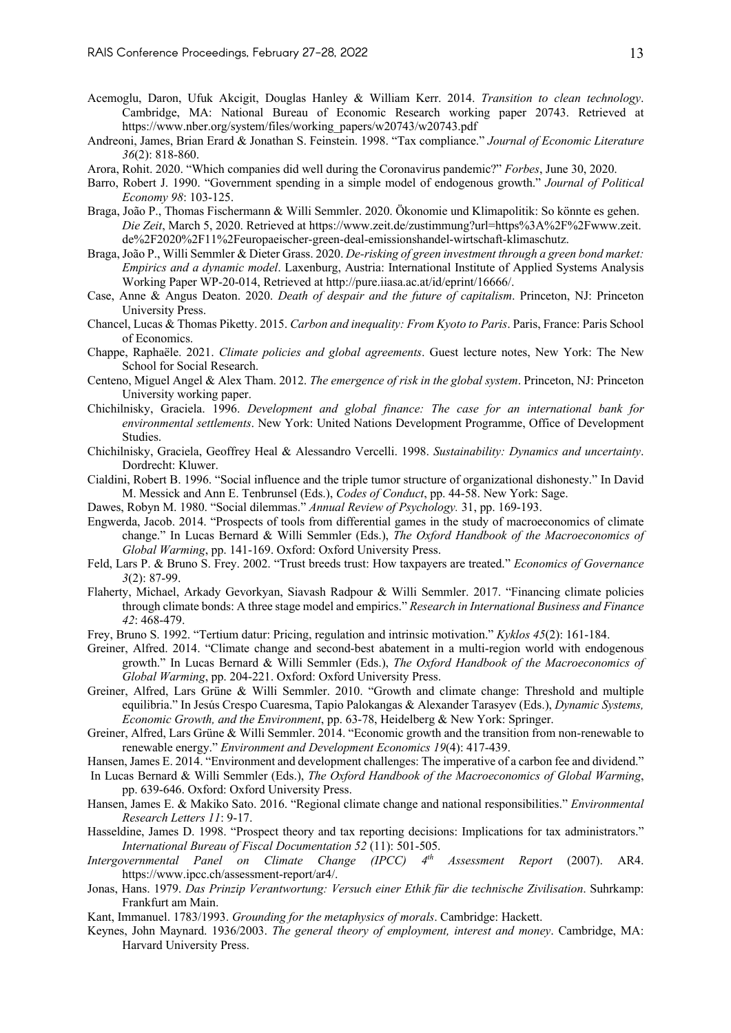- Acemoglu, Daron, Ufuk Akcigit, Douglas Hanley & William Kerr. 2014. *Transition to clean technology*. Cambridge, MA: National Bureau of Economic Research working paper 20743. Retrieved at https://www.nber.org/system/files/working\_papers/w20743/w20743.pdf
- Andreoni, James, Brian Erard & Jonathan S. Feinstein. 1998. "Tax compliance." *Journal of Economic Literature 36*(2): 818-860.
- Arora, Rohit. 2020. "Which companies did well during the Coronavirus pandemic?" *Forbes*, June 30, 2020.
- Barro, Robert J. 1990. "Government spending in a simple model of endogenous growth." *Journal of Political Economy 98*: 103-125.
- Braga, João P., Thomas Fischermann & Willi Semmler. 2020. Ökonomie und Klimapolitik: So könnte es gehen. *Die Zeit*, March 5, 2020. Retrieved at https://www.zeit.de/zustimmung?url=https%3A%2F%2Fwww.zeit. de%2F2020%2F11%2Feuropaeischer-green-deal-emissionshandel-wirtschaft-klimaschutz.
- Braga, João P., Willi Semmler & Dieter Grass. 2020. *De-risking of green investment through a green bond market: Empirics and a dynamic model*. Laxenburg, Austria: International Institute of Applied Systems Analysis Working Paper WP-20-014, Retrieved at http://pure.iiasa.ac.at/id/eprint/16666/.
- Case, Anne & Angus Deaton. 2020. *Death of despair and the future of capitalism*. Princeton, NJ: Princeton University Press.
- Chancel, Lucas & Thomas Piketty. 2015. *Carbon and inequality: From Kyoto to Paris*. Paris, France: Paris School of Economics.
- Chappe, Raphaële. 2021. *Climate policies and global agreements*. Guest lecture notes, New York: The New School for Social Research.
- Centeno, Miguel Angel & Alex Tham. 2012. *The emergence of risk in the global system*. Princeton, NJ: Princeton University working paper.
- Chichilnisky, Graciela. 1996. *Development and global finance: The case for an international bank for environmental settlements*. New York: United Nations Development Programme, Office of Development Studies.
- Chichilnisky, Graciela, Geoffrey Heal & Alessandro Vercelli. 1998. *Sustainability: Dynamics and uncertainty*. Dordrecht: Kluwer.
- Cialdini, Robert B. 1996. "Social influence and the triple tumor structure of organizational dishonesty." In David M. Messick and Ann E. Tenbrunsel (Eds.), *Codes of Conduct*, pp. 44-58. New York: Sage.
- Dawes, Robyn M. 1980. "Social dilemmas." *Annual Review of Psychology.* 31, pp. 169-193.
- Engwerda, Jacob. 2014. "Prospects of tools from differential games in the study of macroeconomics of climate change." In Lucas Bernard & Willi Semmler (Eds.), *The Oxford Handbook of the Macroeconomics of Global Warming*, pp. 141-169. Oxford: Oxford University Press.
- Feld, Lars P. & Bruno S. Frey. 2002. "Trust breeds trust: How taxpayers are treated." *Economics of Governance 3*(2): 87-99.
- Flaherty, Michael, Arkady Gevorkyan, Siavash Radpour & Willi Semmler. 2017. "Financing climate policies through climate bonds: A three stage model and empirics." *Research in International Business and Finance 42*: 468-479.
- Frey, Bruno S. 1992. "Tertium datur: Pricing, regulation and intrinsic motivation." *Kyklos 45*(2): 161-184.
- Greiner, Alfred. 2014. "Climate change and second-best abatement in a multi-region world with endogenous growth." In Lucas Bernard & Willi Semmler (Eds.), *The Oxford Handbook of the Macroeconomics of Global Warming*, pp. 204-221. Oxford: Oxford University Press.
- Greiner, Alfred, Lars Grüne & Willi Semmler. 2010. "Growth and climate change: Threshold and multiple equilibria." In Jesús Crespo Cuaresma, Tapio Palokangas & Alexander Tarasyev (Eds.), *Dynamic Systems, Economic Growth, and the Environment*, pp. 63-78, Heidelberg & New York: Springer.
- Greiner, Alfred, Lars Grüne & Willi Semmler. 2014. "Economic growth and the transition from non-renewable to renewable energy." *Environment and Development Economics 19*(4): 417-439.
- Hansen, James E. 2014. "Environment and development challenges: The imperative of a carbon fee and dividend."
- In Lucas Bernard & Willi Semmler (Eds.), *The Oxford Handbook of the Macroeconomics of Global Warming*, pp. 639-646. Oxford: Oxford University Press.
- Hansen, James E. & Makiko Sato. 2016. "Regional climate change and national responsibilities." *Environmental Research Letters 11*: 9-17.
- Hasseldine, James D. 1998. "Prospect theory and tax reporting decisions: Implications for tax administrators." *International Bureau of Fiscal Documentation 52* (11): 501-505.
- *Intergovernmental Panel on Climate Change (IPCC) 4th Assessment Report* (2007). AR4. https://www.ipcc.ch/assessment-report/ar4/.
- Jonas, Hans. 1979. *Das Prinzip Verantwortung: Versuch einer Ethik für die technische Zivilisation*. Suhrkamp: Frankfurt am Main.
- Kant, Immanuel. 1783/1993. *Grounding for the metaphysics of morals*. Cambridge: Hackett.
- Keynes, John Maynard. 1936/2003. *The general theory of employment, interest and money*. Cambridge, MA: Harvard University Press.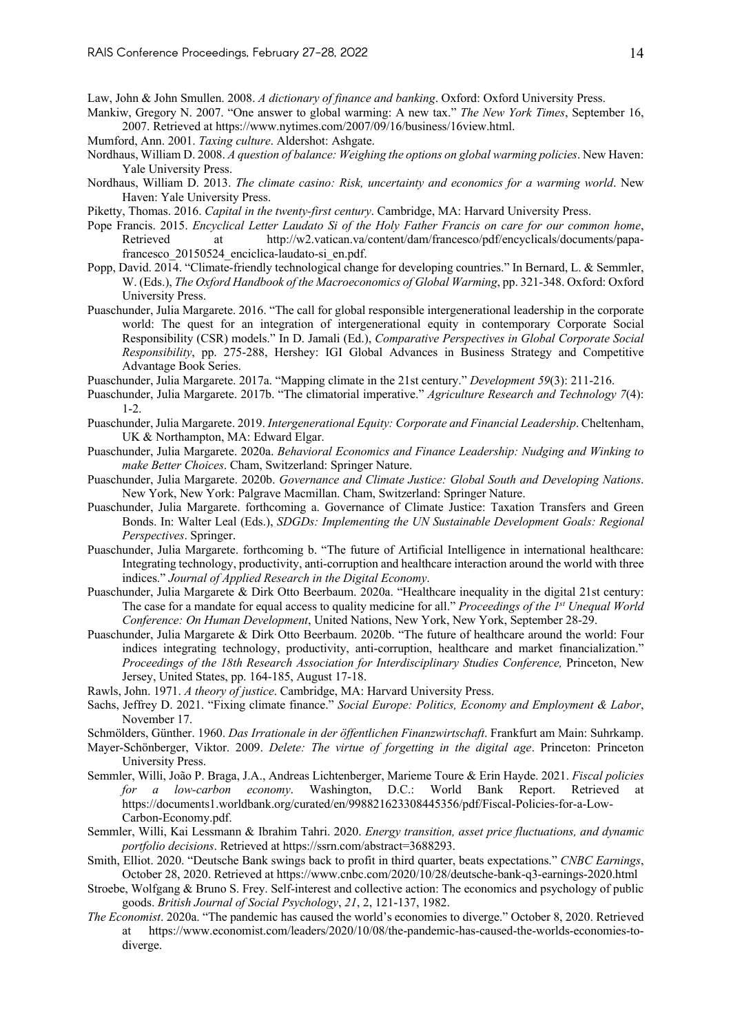Law, John & John Smullen. 2008. *A dictionary of finance and banking*. Oxford: Oxford University Press.

Mankiw, Gregory N. 2007. "One answer to global warming: A new tax." *The New York Times*, September 16, 2007. Retrieved at https://www.nytimes.com/2007/09/16/business/16view.html.

- Mumford, Ann. 2001. *Taxing culture*. Aldershot: Ashgate.
- Nordhaus, William D. 2008. *A question of balance: Weighing the options on global warming policies*. New Haven: Yale University Press.
- Nordhaus, William D. 2013. *The climate casino: Risk, uncertainty and economics for a warming world*. New Haven: Yale University Press.
- Piketty, Thomas. 2016. *Capital in the twenty-first century*. Cambridge, MA: Harvard University Press.
- Pope Francis. 2015. *Encyclical Letter Laudato Si of the Holy Father Francis on care for our common home*, Retrieved at http://w2.vatican.va/content/dam/francesco/pdf/encyclicals/documents/papafrancesco\_20150524\_enciclica-laudato-si\_en.pdf.
- Popp, David. 2014. "Climate-friendly technological change for developing countries." In Bernard, L. & Semmler, W. (Eds.), *The Oxford Handbook of the Macroeconomics of Global Warming*, pp. 321-348. Oxford: Oxford University Press.
- Puaschunder, Julia Margarete. 2016. "The call for global responsible intergenerational leadership in the corporate world: The quest for an integration of intergenerational equity in contemporary Corporate Social Responsibility (CSR) models." In D. Jamali (Ed.), *Comparative Perspectives in Global Corporate Social Responsibility*, pp. 275-288, Hershey: IGI Global Advances in Business Strategy and Competitive Advantage Book Series.
- Puaschunder, Julia Margarete. 2017a. "Mapping climate in the 21st century." *Development 59*(3): 211-216.
- Puaschunder, Julia Margarete. 2017b. "The climatorial imperative." *Agriculture Research and Technology 7*(4): 1-2.
- Puaschunder, Julia Margarete. 2019. *Intergenerational Equity: Corporate and Financial Leadership*. Cheltenham, UK & Northampton, MA: Edward Elgar.
- Puaschunder, Julia Margarete. 2020a. *Behavioral Economics and Finance Leadership: Nudging and Winking to make Better Choices*. Cham, Switzerland: Springer Nature.
- Puaschunder, Julia Margarete. 2020b. *Governance and Climate Justice: Global South and Developing Nations*. New York, New York: Palgrave Macmillan. Cham, Switzerland: Springer Nature.
- Puaschunder, Julia Margarete. forthcoming a. Governance of Climate Justice: Taxation Transfers and Green Bonds. In: Walter Leal (Eds.), *SDGDs: Implementing the UN Sustainable Development Goals: Regional Perspectives*. Springer.
- Puaschunder, Julia Margarete. forthcoming b. "The future of Artificial Intelligence in international healthcare: Integrating technology, productivity, anti-corruption and healthcare interaction around the world with three indices." *Journal of Applied Research in the Digital Economy*.
- Puaschunder, Julia Margarete & Dirk Otto Beerbaum. 2020a. "Healthcare inequality in the digital 21st century: The case for a mandate for equal access to quality medicine for all." *Proceedings of the 1st Unequal World Conference: On Human Development*, United Nations, New York, New York, September 28-29.
- Puaschunder, Julia Margarete & Dirk Otto Beerbaum. 2020b. "The future of healthcare around the world: Four indices integrating technology, productivity, anti-corruption, healthcare and market financialization." *Proceedings of the 18th Research Association for Interdisciplinary Studies Conference,* Princeton, New Jersey, United States, pp. 164-185, August 17-18.
- Rawls, John. 1971. *A theory of justice*. Cambridge, MA: Harvard University Press.
- Sachs, Jeffrey D. 2021. "Fixing climate finance." *Social Europe: Politics, Economy and Employment & Labor*, November 17.
- Schmölders, Günther. 1960. *Das Irrationale in der öffentlichen Finanzwirtschaft*. Frankfurt am Main: Suhrkamp.
- Mayer-Schönberger, Viktor. 2009. *Delete: The virtue of forgetting in the digital age*. Princeton: Princeton University Press.
- Semmler, Willi, João P. Braga, J.A., Andreas Lichtenberger, Marieme Toure & Erin Hayde. 2021. *Fiscal policies for a low-carbon economy*. Washington, D.C.: World Bank Report. Retrieved at https://documents1.worldbank.org/curated/en/998821623308445356/pdf/Fiscal-Policies-for-a-Low-Carbon-Economy.pdf.
- Semmler, Willi, Kai Lessmann & Ibrahim Tahri. 2020. *Energy transition, asset price fluctuations, and dynamic portfolio decisions*. Retrieved at https://ssrn.com/abstract=3688293.
- Smith, Elliot. 2020. "Deutsche Bank swings back to profit in third quarter, beats expectations." *CNBC Earnings*, October 28, 2020. Retrieved at https://www.cnbc.com/2020/10/28/deutsche-bank-q3-earnings-2020.html
- Stroebe, Wolfgang & Bruno S. Frey. Self-interest and collective action: The economics and psychology of public goods. *British Journal of Social Psychology*, *21*, 2, 121-137, 1982.
- *The Economist*. 2020a. "The pandemic has caused the world's economies to diverge." October 8, 2020. Retrieved at https://www.economist.com/leaders/2020/10/08/the-pandemic-has-caused-the-worlds-economies-todiverge.